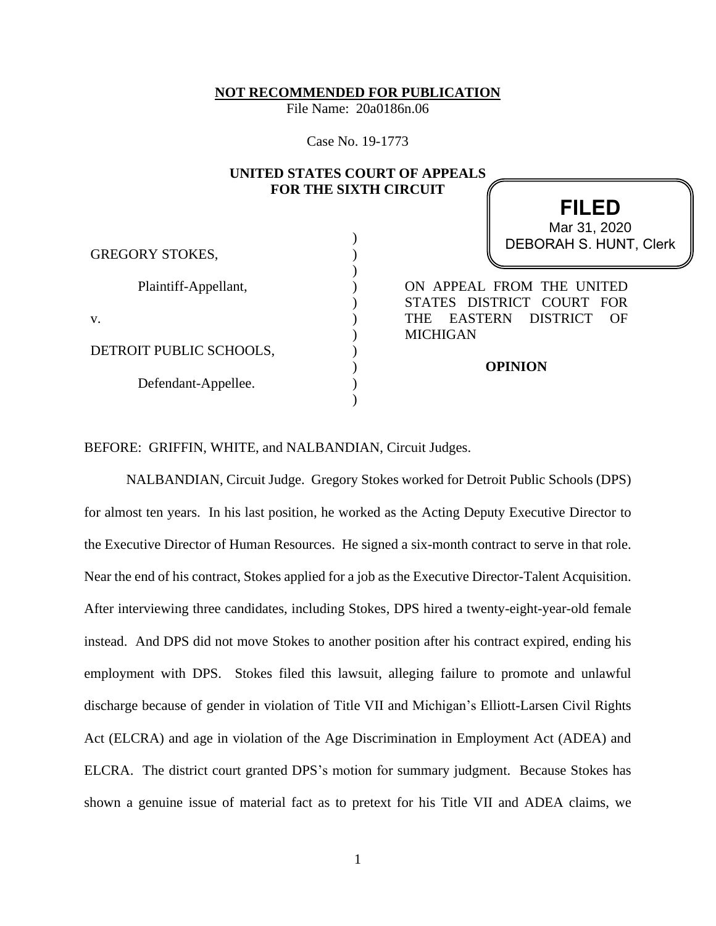**NOT RECOMMENDED FOR PUBLICATION**

File Name: 20a0186n.06

Case No. 19-1773

|                         | <b>FOR THE SIXTH CIRCUIT</b> | UNITED STATES COURT OF APPEALS                    |
|-------------------------|------------------------------|---------------------------------------------------|
|                         |                              | <b>FILED</b>                                      |
|                         |                              | Mar 31, 2020                                      |
|                         |                              | DEBORAH S. HUNT, Clerk                            |
| <b>GREGORY STOKES,</b>  |                              |                                                   |
|                         |                              |                                                   |
| Plaintiff-Appellant,    |                              | ON APPEAL FROM THE UNITED                         |
|                         |                              | STATES DISTRICT COURT FOR                         |
| V.                      |                              | EASTERN DISTRICT<br><b>THE</b><br>$\overline{OR}$ |
|                         |                              | <b>MICHIGAN</b>                                   |
| DETROIT PUBLIC SCHOOLS, |                              |                                                   |
|                         |                              | <b>OPINION</b>                                    |
| Defendant-Appellee.     |                              |                                                   |
|                         |                              |                                                   |

BEFORE: GRIFFIN, WHITE, and NALBANDIAN, Circuit Judges.

NALBANDIAN, Circuit Judge. Gregory Stokes worked for Detroit Public Schools (DPS) for almost ten years. In his last position, he worked as the Acting Deputy Executive Director to the Executive Director of Human Resources. He signed a six-month contract to serve in that role. Near the end of his contract, Stokes applied for a job as the Executive Director-Talent Acquisition. After interviewing three candidates, including Stokes, DPS hired a twenty-eight-year-old female instead. And DPS did not move Stokes to another position after his contract expired, ending his employment with DPS. Stokes filed this lawsuit, alleging failure to promote and unlawful discharge because of gender in violation of Title VII and Michigan's Elliott-Larsen Civil Rights Act (ELCRA) and age in violation of the Age Discrimination in Employment Act (ADEA) and ELCRA. The district court granted DPS's motion for summary judgment. Because Stokes has shown a genuine issue of material fact as to pretext for his Title VII and ADEA claims, we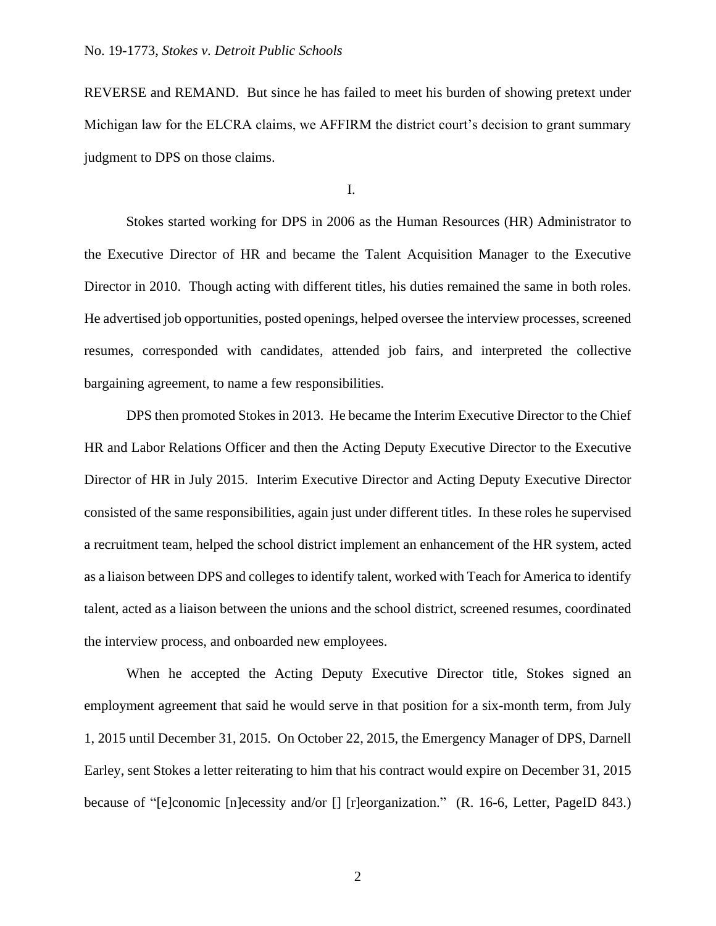REVERSE and REMAND. But since he has failed to meet his burden of showing pretext under Michigan law for the ELCRA claims, we AFFIRM the district court's decision to grant summary judgment to DPS on those claims.

I.

Stokes started working for DPS in 2006 as the Human Resources (HR) Administrator to the Executive Director of HR and became the Talent Acquisition Manager to the Executive Director in 2010. Though acting with different titles, his duties remained the same in both roles. He advertised job opportunities, posted openings, helped oversee the interview processes, screened resumes, corresponded with candidates, attended job fairs, and interpreted the collective bargaining agreement, to name a few responsibilities.

DPS then promoted Stokes in 2013. He became the Interim Executive Director to the Chief HR and Labor Relations Officer and then the Acting Deputy Executive Director to the Executive Director of HR in July 2015. Interim Executive Director and Acting Deputy Executive Director consisted of the same responsibilities, again just under different titles. In these roles he supervised a recruitment team, helped the school district implement an enhancement of the HR system, acted as a liaison between DPS and colleges to identify talent, worked with Teach for America to identify talent, acted as a liaison between the unions and the school district, screened resumes, coordinated the interview process, and onboarded new employees.

When he accepted the Acting Deputy Executive Director title, Stokes signed an employment agreement that said he would serve in that position for a six-month term, from July 1, 2015 until December 31, 2015. On October 22, 2015, the Emergency Manager of DPS, Darnell Earley, sent Stokes a letter reiterating to him that his contract would expire on December 31, 2015 because of "[e]conomic [n]ecessity and/or [] [r]eorganization." (R. 16-6, Letter, PageID 843.)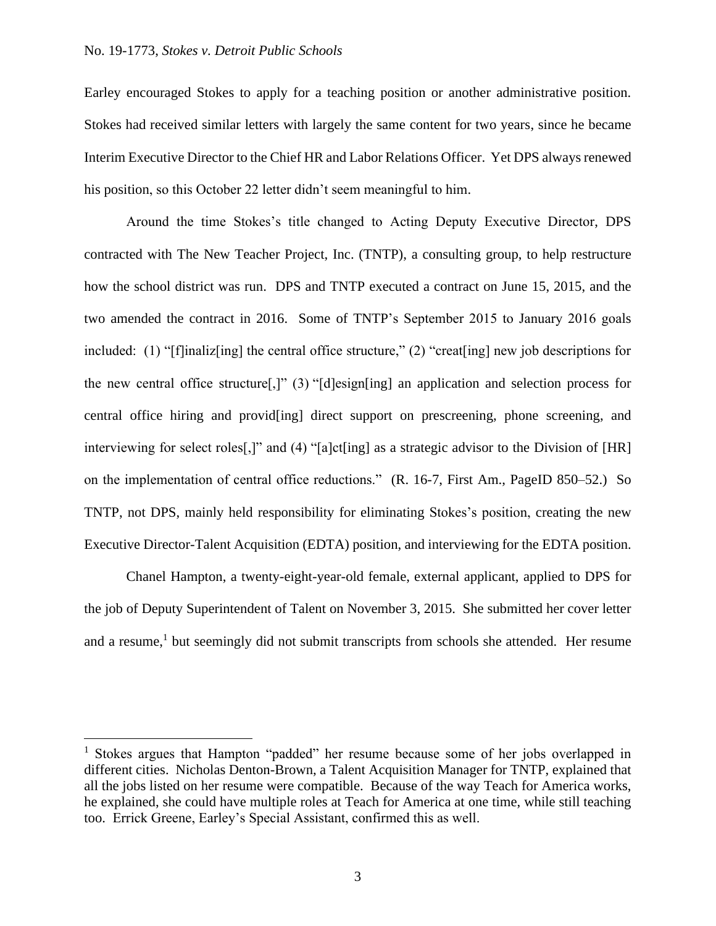Earley encouraged Stokes to apply for a teaching position or another administrative position. Stokes had received similar letters with largely the same content for two years, since he became Interim Executive Director to the Chief HR and Labor Relations Officer. Yet DPS always renewed his position, so this October 22 letter didn't seem meaningful to him.

Around the time Stokes's title changed to Acting Deputy Executive Director, DPS contracted with The New Teacher Project, Inc. (TNTP), a consulting group, to help restructure how the school district was run. DPS and TNTP executed a contract on June 15, 2015, and the two amended the contract in 2016. Some of TNTP's September 2015 to January 2016 goals included: (1) "[f]inaliz[ing] the central office structure," (2) "creat[ing] new job descriptions for the new central office structure[,]" (3) "[d]esign[ing] an application and selection process for central office hiring and provid[ing] direct support on prescreening, phone screening, and interviewing for select roles[,]" and (4) "[a]ct[ing] as a strategic advisor to the Division of [HR] on the implementation of central office reductions." (R. 16-7, First Am., PageID 850–52.) So TNTP, not DPS, mainly held responsibility for eliminating Stokes's position, creating the new Executive Director-Talent Acquisition (EDTA) position, and interviewing for the EDTA position.

Chanel Hampton, a twenty-eight-year-old female, external applicant, applied to DPS for the job of Deputy Superintendent of Talent on November 3, 2015. She submitted her cover letter and a resume,<sup>1</sup> but seemingly did not submit transcripts from schools she attended. Her resume

<sup>&</sup>lt;sup>1</sup> Stokes argues that Hampton "padded" her resume because some of her jobs overlapped in different cities. Nicholas Denton-Brown, a Talent Acquisition Manager for TNTP, explained that all the jobs listed on her resume were compatible. Because of the way Teach for America works, he explained, she could have multiple roles at Teach for America at one time, while still teaching too. Errick Greene, Earley's Special Assistant, confirmed this as well.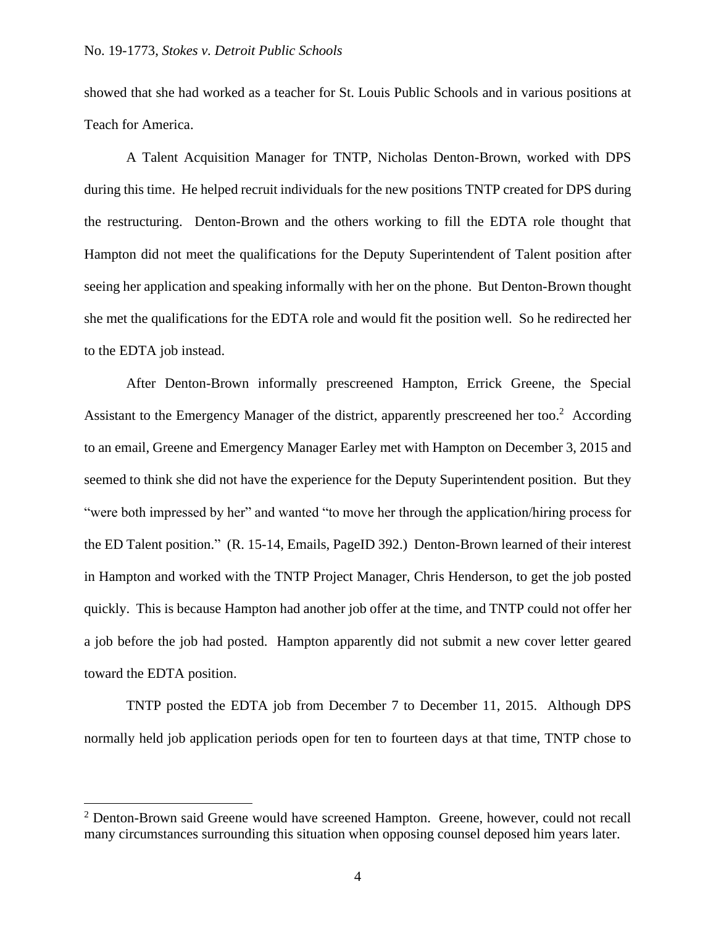showed that she had worked as a teacher for St. Louis Public Schools and in various positions at Teach for America.

A Talent Acquisition Manager for TNTP, Nicholas Denton-Brown, worked with DPS during this time. He helped recruit individuals for the new positions TNTP created for DPS during the restructuring. Denton-Brown and the others working to fill the EDTA role thought that Hampton did not meet the qualifications for the Deputy Superintendent of Talent position after seeing her application and speaking informally with her on the phone. But Denton-Brown thought she met the qualifications for the EDTA role and would fit the position well. So he redirected her to the EDTA job instead.

After Denton-Brown informally prescreened Hampton, Errick Greene, the Special Assistant to the Emergency Manager of the district, apparently prescreened her too.<sup>2</sup> According to an email, Greene and Emergency Manager Earley met with Hampton on December 3, 2015 and seemed to think she did not have the experience for the Deputy Superintendent position. But they "were both impressed by her" and wanted "to move her through the application/hiring process for the ED Talent position." (R. 15-14, Emails, PageID 392.) Denton-Brown learned of their interest in Hampton and worked with the TNTP Project Manager, Chris Henderson, to get the job posted quickly. This is because Hampton had another job offer at the time, and TNTP could not offer her a job before the job had posted. Hampton apparently did not submit a new cover letter geared toward the EDTA position.

TNTP posted the EDTA job from December 7 to December 11, 2015. Although DPS normally held job application periods open for ten to fourteen days at that time, TNTP chose to

 $2$  Denton-Brown said Greene would have screened Hampton. Greene, however, could not recall many circumstances surrounding this situation when opposing counsel deposed him years later.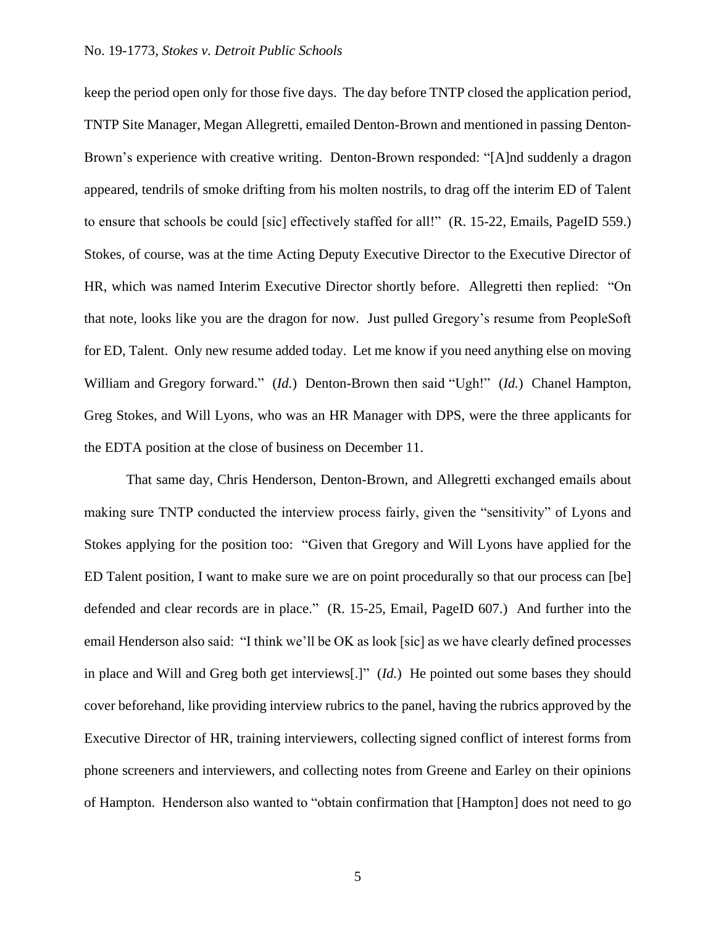### No. 19-1773, *Stokes v. Detroit Public Schools*

keep the period open only for those five days. The day before TNTP closed the application period, TNTP Site Manager, Megan Allegretti, emailed Denton-Brown and mentioned in passing Denton-Brown's experience with creative writing. Denton-Brown responded: "[A]nd suddenly a dragon appeared, tendrils of smoke drifting from his molten nostrils, to drag off the interim ED of Talent to ensure that schools be could [sic] effectively staffed for all!" (R. 15-22, Emails, PageID 559.) Stokes, of course, was at the time Acting Deputy Executive Director to the Executive Director of HR, which was named Interim Executive Director shortly before. Allegretti then replied: "On that note, looks like you are the dragon for now. Just pulled Gregory's resume from PeopleSoft for ED, Talent. Only new resume added today. Let me know if you need anything else on moving William and Gregory forward." (*Id.*) Denton-Brown then said "Ugh!" (*Id.*) Chanel Hampton, Greg Stokes, and Will Lyons, who was an HR Manager with DPS, were the three applicants for the EDTA position at the close of business on December 11.

That same day, Chris Henderson, Denton-Brown, and Allegretti exchanged emails about making sure TNTP conducted the interview process fairly, given the "sensitivity" of Lyons and Stokes applying for the position too: "Given that Gregory and Will Lyons have applied for the ED Talent position, I want to make sure we are on point procedurally so that our process can [be] defended and clear records are in place." (R. 15-25, Email, PageID 607.)And further into the email Henderson also said: "I think we'll be OK as look [sic] as we have clearly defined processes in place and Will and Greg both get interviews[.]" (*Id.*) He pointed out some bases they should cover beforehand, like providing interview rubrics to the panel, having the rubrics approved by the Executive Director of HR, training interviewers, collecting signed conflict of interest forms from phone screeners and interviewers, and collecting notes from Greene and Earley on their opinions of Hampton. Henderson also wanted to "obtain confirmation that [Hampton] does not need to go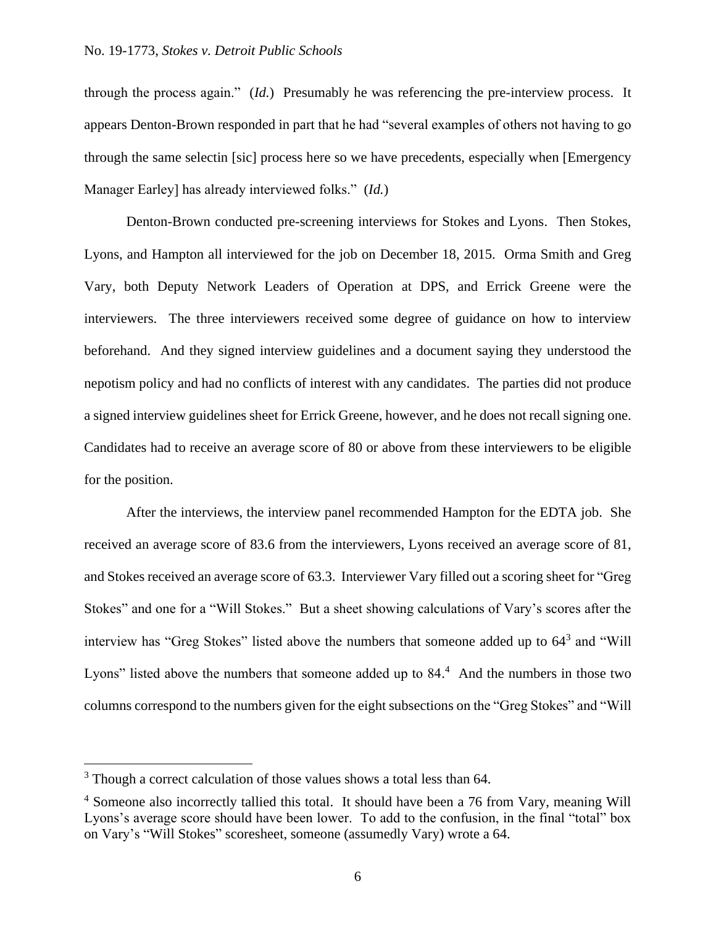through the process again."(*Id.*)Presumably he was referencing the pre-interview process. It appears Denton-Brown responded in part that he had "several examples of others not having to go through the same selectin [sic] process here so we have precedents, especially when [Emergency Manager Earley] has already interviewed folks." (*Id.*)

Denton-Brown conducted pre-screening interviews for Stokes and Lyons. Then Stokes, Lyons, and Hampton all interviewed for the job on December 18, 2015. Orma Smith and Greg Vary, both Deputy Network Leaders of Operation at DPS, and Errick Greene were the interviewers. The three interviewers received some degree of guidance on how to interview beforehand. And they signed interview guidelines and a document saying they understood the nepotism policy and had no conflicts of interest with any candidates. The parties did not produce a signed interview guidelines sheet for Errick Greene, however, and he does not recall signing one. Candidates had to receive an average score of 80 or above from these interviewers to be eligible for the position.

After the interviews, the interview panel recommended Hampton for the EDTA job. She received an average score of 83.6 from the interviewers, Lyons received an average score of 81, and Stokes received an average score of 63.3. Interviewer Vary filled out a scoring sheet for "Greg Stokes" and one for a "Will Stokes." But a sheet showing calculations of Vary's scores after the interview has "Greg Stokes" listed above the numbers that someone added up to  $64<sup>3</sup>$  and "Will Lyons" listed above the numbers that someone added up to 84.<sup>4</sup> And the numbers in those two columns correspond to the numbers given for the eight subsections on the "Greg Stokes" and "Will

<sup>&</sup>lt;sup>3</sup> Though a correct calculation of those values shows a total less than 64.

<sup>&</sup>lt;sup>4</sup> Someone also incorrectly tallied this total. It should have been a 76 from Vary, meaning Will Lyons's average score should have been lower. To add to the confusion, in the final "total" box on Vary's "Will Stokes" scoresheet, someone (assumedly Vary) wrote a 64.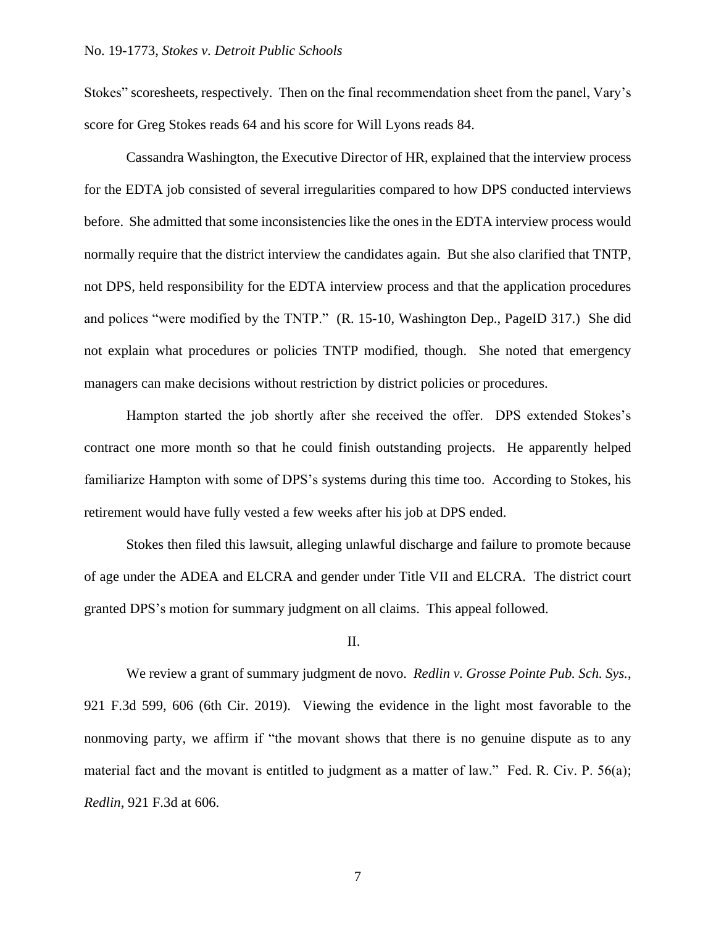Stokes" scoresheets, respectively. Then on the final recommendation sheet from the panel, Vary's score for Greg Stokes reads 64 and his score for Will Lyons reads 84.

Cassandra Washington, the Executive Director of HR, explained that the interview process for the EDTA job consisted of several irregularities compared to how DPS conducted interviews before. She admitted that some inconsistencies like the ones in the EDTA interview process would normally require that the district interview the candidates again. But she also clarified that TNTP, not DPS, held responsibility for the EDTA interview process and that the application procedures and polices "were modified by the TNTP." (R. 15-10, Washington Dep., PageID 317.) She did not explain what procedures or policies TNTP modified, though. She noted that emergency managers can make decisions without restriction by district policies or procedures.

Hampton started the job shortly after she received the offer. DPS extended Stokes's contract one more month so that he could finish outstanding projects. He apparently helped familiarize Hampton with some of DPS's systems during this time too. According to Stokes, his retirement would have fully vested a few weeks after his job at DPS ended.

Stokes then filed this lawsuit, alleging unlawful discharge and failure to promote because of age under the ADEA and ELCRA and gender under Title VII and ELCRA. The district court granted DPS's motion for summary judgment on all claims. This appeal followed.

#### II.

We review a grant of summary judgment de novo. *Redlin v. Grosse Pointe Pub. Sch. Sys.*, 921 F.3d 599, 606 (6th Cir. 2019). Viewing the evidence in the light most favorable to the nonmoving party, we affirm if "the movant shows that there is no genuine dispute as to any material fact and the movant is entitled to judgment as a matter of law." Fed. R. Civ. P. 56(a); *Redlin*, 921 F.3d at 606.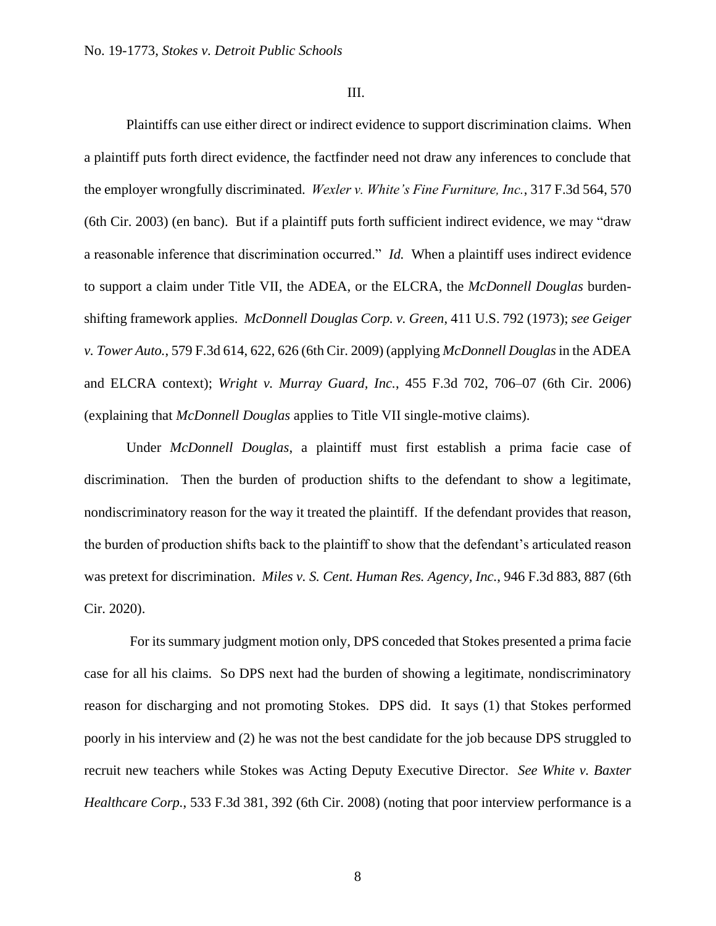III.

Plaintiffs can use either direct or indirect evidence to support discrimination claims. When a plaintiff puts forth direct evidence, the factfinder need not draw any inferences to conclude that the employer wrongfully discriminated. *Wexler v. White's Fine Furniture, Inc.*, 317 F.3d 564, 570 (6th Cir. 2003) (en banc). But if a plaintiff puts forth sufficient indirect evidence, we may "draw a reasonable inference that discrimination occurred." *Id.* When a plaintiff uses indirect evidence to support a claim under Title VII, the ADEA, or the ELCRA, the *McDonnell Douglas* burdenshifting framework applies. *McDonnell Douglas Corp. v. Green*, 411 U.S. 792 (1973); *see Geiger v. Tower Auto.*, 579 F.3d 614, 622, 626 (6th Cir. 2009) (applying *McDonnell Douglas*in the ADEA and ELCRA context); *Wright v. Murray Guard, Inc.*, 455 F.3d 702, 706–07 (6th Cir. 2006) (explaining that *McDonnell Douglas* applies to Title VII single-motive claims).

Under *McDonnell Douglas*, a plaintiff must first establish a prima facie case of discrimination. Then the burden of production shifts to the defendant to show a legitimate, nondiscriminatory reason for the way it treated the plaintiff. If the defendant provides that reason, the burden of production shifts back to the plaintiff to show that the defendant's articulated reason was pretext for discrimination. *Miles v. S. Cent. Human Res. Agency, Inc.*, 946 F.3d 883, 887 (6th Cir. 2020).

For its summary judgment motion only, DPS conceded that Stokes presented a prima facie case for all his claims. So DPS next had the burden of showing a legitimate, nondiscriminatory reason for discharging and not promoting Stokes. DPS did. It says (1) that Stokes performed poorly in his interview and (2) he was not the best candidate for the job because DPS struggled to recruit new teachers while Stokes was Acting Deputy Executive Director. *See White v. Baxter Healthcare Corp.*, 533 F.3d 381, 392 (6th Cir. 2008) (noting that poor interview performance is a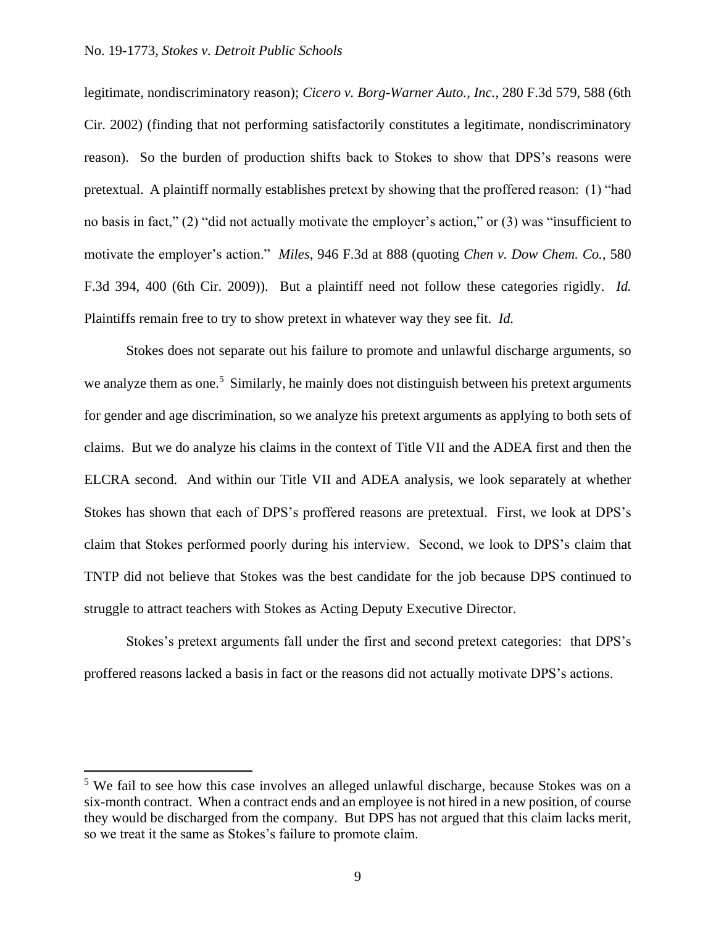### No. 19-1773, *Stokes v. Detroit Public Schools*

legitimate, nondiscriminatory reason); *Cicero v. Borg-Warner Auto., Inc.*, 280 F.3d 579, 588 (6th Cir. 2002) (finding that not performing satisfactorily constitutes a legitimate, nondiscriminatory reason). So the burden of production shifts back to Stokes to show that DPS's reasons were pretextual. A plaintiff normally establishes pretext by showing that the proffered reason: (1) "had no basis in fact," (2) "did not actually motivate the employer's action," or (3) was "insufficient to motivate the employer's action." *Miles*, 946 F.3d at 888 (quoting *Chen v. Dow Chem. Co.*, 580 F.3d 394, 400 (6th Cir. 2009)). But a plaintiff need not follow these categories rigidly. *Id.*  Plaintiffs remain free to try to show pretext in whatever way they see fit. *Id.*

Stokes does not separate out his failure to promote and unlawful discharge arguments, so we analyze them as one.<sup>5</sup> Similarly, he mainly does not distinguish between his pretext arguments for gender and age discrimination, so we analyze his pretext arguments as applying to both sets of claims. But we do analyze his claims in the context of Title VII and the ADEA first and then the ELCRA second. And within our Title VII and ADEA analysis, we look separately at whether Stokes has shown that each of DPS's proffered reasons are pretextual. First, we look at DPS's claim that Stokes performed poorly during his interview. Second, we look to DPS's claim that TNTP did not believe that Stokes was the best candidate for the job because DPS continued to struggle to attract teachers with Stokes as Acting Deputy Executive Director.

Stokes's pretext arguments fall under the first and second pretext categories: that DPS's proffered reasons lacked a basis in fact or the reasons did not actually motivate DPS's actions.

<sup>&</sup>lt;sup>5</sup> We fail to see how this case involves an alleged unlawful discharge, because Stokes was on a six-month contract. When a contract ends and an employee is not hired in a new position, of course they would be discharged from the company. But DPS has not argued that this claim lacks merit, so we treat it the same as Stokes's failure to promote claim.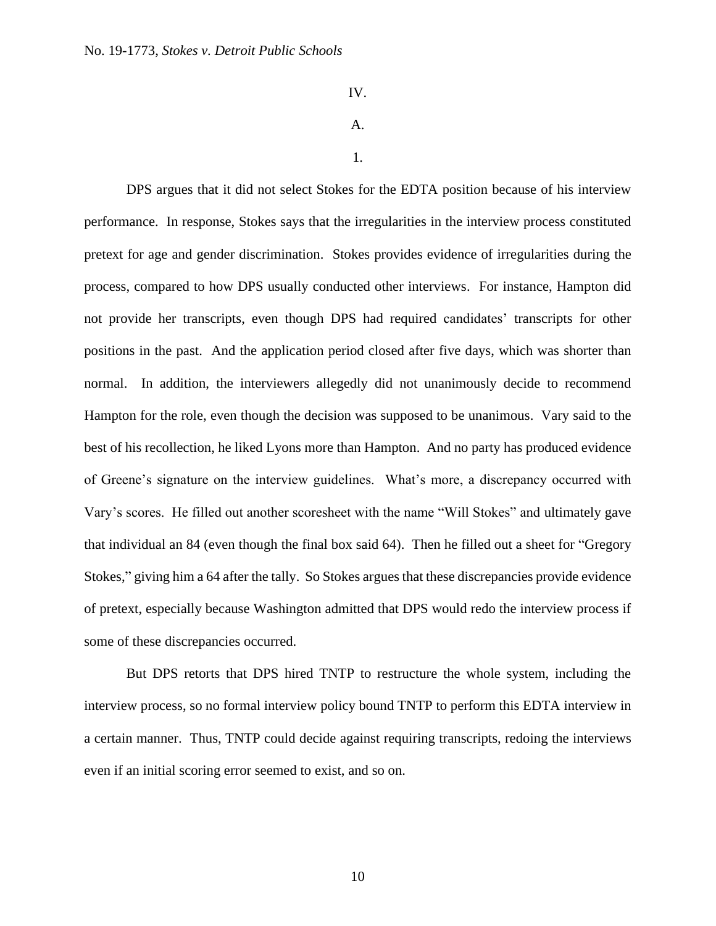IV.

## A.

1.

DPS argues that it did not select Stokes for the EDTA position because of his interview performance. In response, Stokes says that the irregularities in the interview process constituted pretext for age and gender discrimination. Stokes provides evidence of irregularities during the process, compared to how DPS usually conducted other interviews. For instance, Hampton did not provide her transcripts, even though DPS had required candidates' transcripts for other positions in the past. And the application period closed after five days, which was shorter than normal. In addition, the interviewers allegedly did not unanimously decide to recommend Hampton for the role, even though the decision was supposed to be unanimous. Vary said to the best of his recollection, he liked Lyons more than Hampton. And no party has produced evidence of Greene's signature on the interview guidelines. What's more, a discrepancy occurred with Vary's scores. He filled out another scoresheet with the name "Will Stokes" and ultimately gave that individual an 84 (even though the final box said 64). Then he filled out a sheet for "Gregory Stokes," giving him a 64 after the tally. So Stokes argues that these discrepancies provide evidence of pretext, especially because Washington admitted that DPS would redo the interview process if some of these discrepancies occurred.

But DPS retorts that DPS hired TNTP to restructure the whole system, including the interview process, so no formal interview policy bound TNTP to perform this EDTA interview in a certain manner. Thus, TNTP could decide against requiring transcripts, redoing the interviews even if an initial scoring error seemed to exist, and so on.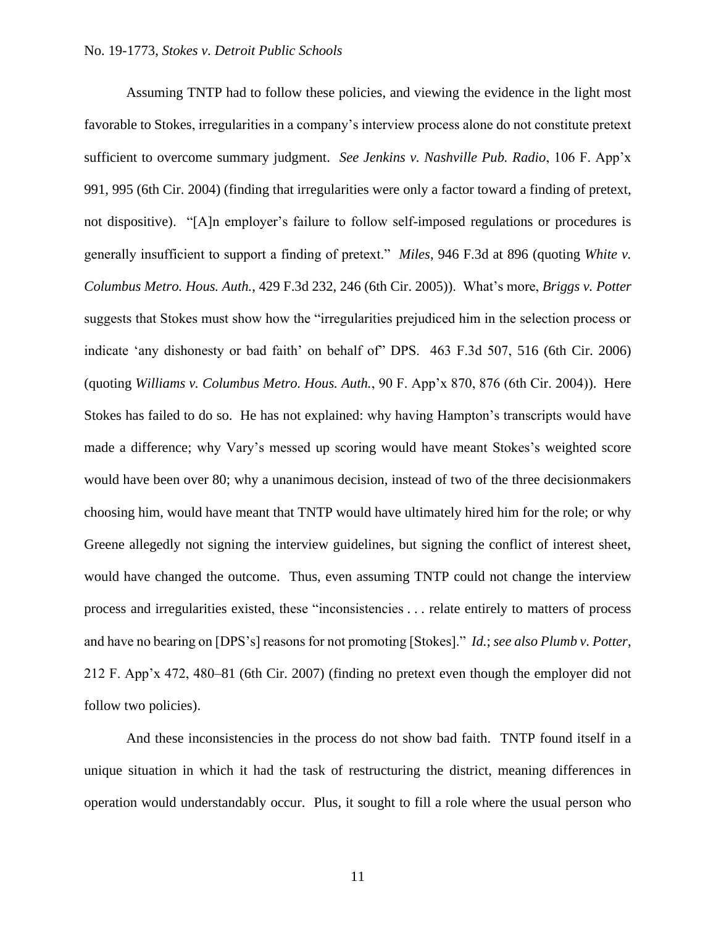Assuming TNTP had to follow these policies, and viewing the evidence in the light most favorable to Stokes, irregularities in a company's interview process alone do not constitute pretext sufficient to overcome summary judgment. *See Jenkins v. Nashville Pub. Radio*, 106 F. App'x 991, 995 (6th Cir. 2004) (finding that irregularities were only a factor toward a finding of pretext, not dispositive). "[A]n employer's failure to follow self-imposed regulations or procedures is generally insufficient to support a finding of pretext." *Miles*, 946 F.3d at 896 (quoting *White v. Columbus Metro. Hous. Auth.*, 429 F.3d 232, 246 (6th Cir. 2005)). What's more, *Briggs v. Potter* suggests that Stokes must show how the "irregularities prejudiced him in the selection process or indicate 'any dishonesty or bad faith' on behalf of" DPS. 463 F.3d 507, 516 (6th Cir. 2006) (quoting *Williams v. Columbus Metro. Hous. Auth.*, 90 F. App'x 870, 876 (6th Cir. 2004)). Here Stokes has failed to do so. He has not explained: why having Hampton's transcripts would have made a difference; why Vary's messed up scoring would have meant Stokes's weighted score would have been over 80; why a unanimous decision, instead of two of the three decisionmakers choosing him, would have meant that TNTP would have ultimately hired him for the role; or why Greene allegedly not signing the interview guidelines, but signing the conflict of interest sheet, would have changed the outcome. Thus, even assuming TNTP could not change the interview process and irregularities existed, these "inconsistencies . . . relate entirely to matters of process and have no bearing on [DPS's] reasons for not promoting [Stokes]." *Id.*; *see also Plumb v. Potter*, 212 F. App'x 472, 480–81 (6th Cir. 2007) (finding no pretext even though the employer did not follow two policies).

And these inconsistencies in the process do not show bad faith. TNTP found itself in a unique situation in which it had the task of restructuring the district, meaning differences in operation would understandably occur. Plus, it sought to fill a role where the usual person who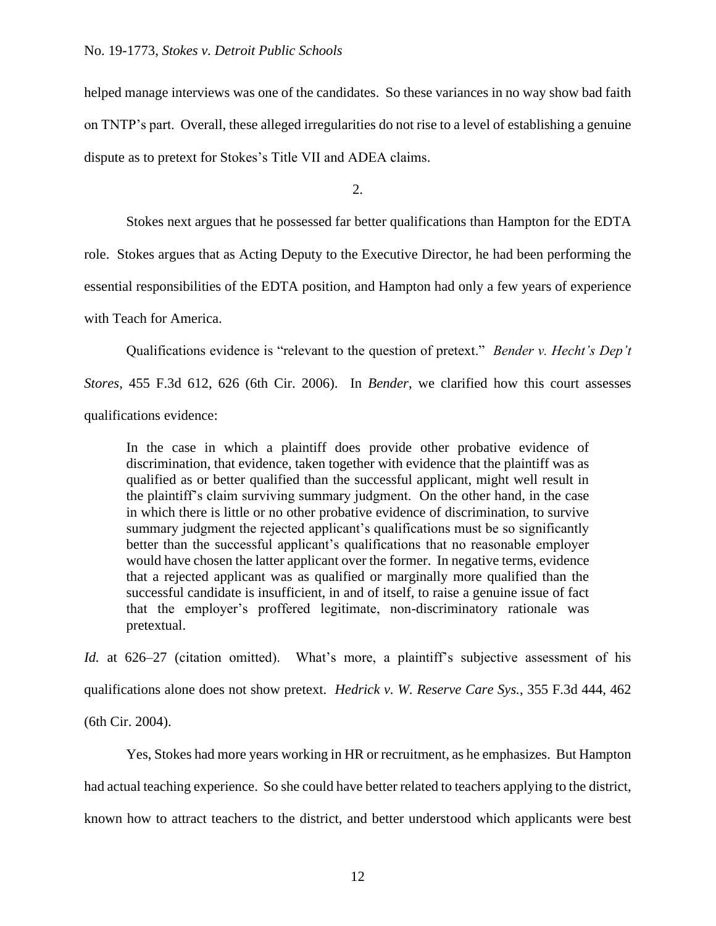helped manage interviews was one of the candidates. So these variances in no way show bad faith on TNTP's part. Overall, these alleged irregularities do not rise to a level of establishing a genuine dispute as to pretext for Stokes's Title VII and ADEA claims.

 $2<sub>1</sub>$ 

Stokes next argues that he possessed far better qualifications than Hampton for the EDTA

role. Stokes argues that as Acting Deputy to the Executive Director, he had been performing the

essential responsibilities of the EDTA position, and Hampton had only a few years of experience

with Teach for America.

Qualifications evidence is "relevant to the question of pretext." *Bender v. Hecht's Dep't*

*Stores*, 455 F.3d 612, 626 (6th Cir. 2006). In *Bender*, we clarified how this court assesses qualifications evidence:

In the case in which a plaintiff does provide other probative evidence of discrimination, that evidence, taken together with evidence that the plaintiff was as qualified as or better qualified than the successful applicant, might well result in the plaintiff's claim surviving summary judgment. On the other hand, in the case in which there is little or no other probative evidence of discrimination, to survive summary judgment the rejected applicant's qualifications must be so significantly better than the successful applicant's qualifications that no reasonable employer would have chosen the latter applicant over the former. In negative terms, evidence that a rejected applicant was as qualified or marginally more qualified than the successful candidate is insufficient, in and of itself, to raise a genuine issue of fact that the employer's proffered legitimate, non-discriminatory rationale was pretextual.

*Id.* at 626–27 (citation omitted). What's more, a plaintiff's subjective assessment of his qualifications alone does not show pretext. *Hedrick v. W. Reserve Care Sys.*, 355 F.3d 444, 462

(6th Cir. 2004).

Yes, Stokes had more years working in HR or recruitment, as he emphasizes. But Hampton had actual teaching experience. So she could have better related to teachers applying to the district, known how to attract teachers to the district, and better understood which applicants were best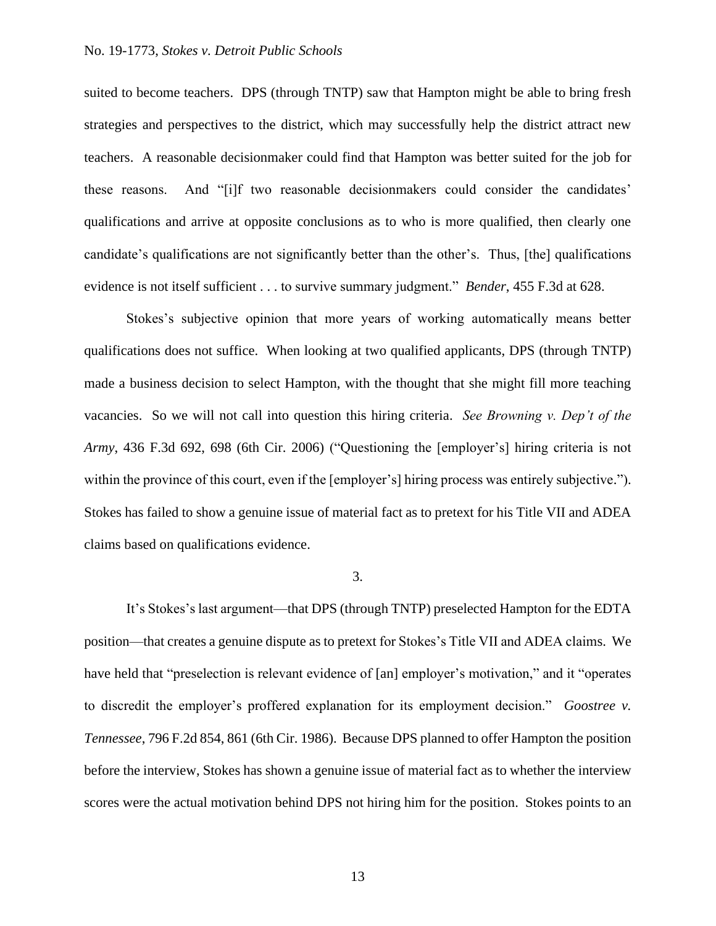### No. 19-1773, *Stokes v. Detroit Public Schools*

suited to become teachers. DPS (through TNTP) saw that Hampton might be able to bring fresh strategies and perspectives to the district, which may successfully help the district attract new teachers. A reasonable decisionmaker could find that Hampton was better suited for the job for these reasons. And "[i]f two reasonable decisionmakers could consider the candidates' qualifications and arrive at opposite conclusions as to who is more qualified, then clearly one candidate's qualifications are not significantly better than the other's. Thus, [the] qualifications evidence is not itself sufficient . . . to survive summary judgment." *Bender*, 455 F.3d at 628.

Stokes's subjective opinion that more years of working automatically means better qualifications does not suffice. When looking at two qualified applicants, DPS (through TNTP) made a business decision to select Hampton, with the thought that she might fill more teaching vacancies. So we will not call into question this hiring criteria. *See Browning v. Dep't of the Army*, 436 F.3d 692, 698 (6th Cir. 2006) ("Questioning the [employer's] hiring criteria is not within the province of this court, even if the [employer's] hiring process was entirely subjective."). Stokes has failed to show a genuine issue of material fact as to pretext for his Title VII and ADEA claims based on qualifications evidence.

3.

It's Stokes's last argument—that DPS (through TNTP) preselected Hampton for the EDTA position—that creates a genuine dispute as to pretext for Stokes's Title VII and ADEA claims. We have held that "preselection is relevant evidence of [an] employer's motivation," and it "operates to discredit the employer's proffered explanation for its employment decision." *Goostree v. Tennessee*, 796 F.2d 854, 861 (6th Cir. 1986). Because DPS planned to offer Hampton the position before the interview, Stokes has shown a genuine issue of material fact as to whether the interview scores were the actual motivation behind DPS not hiring him for the position. Stokes points to an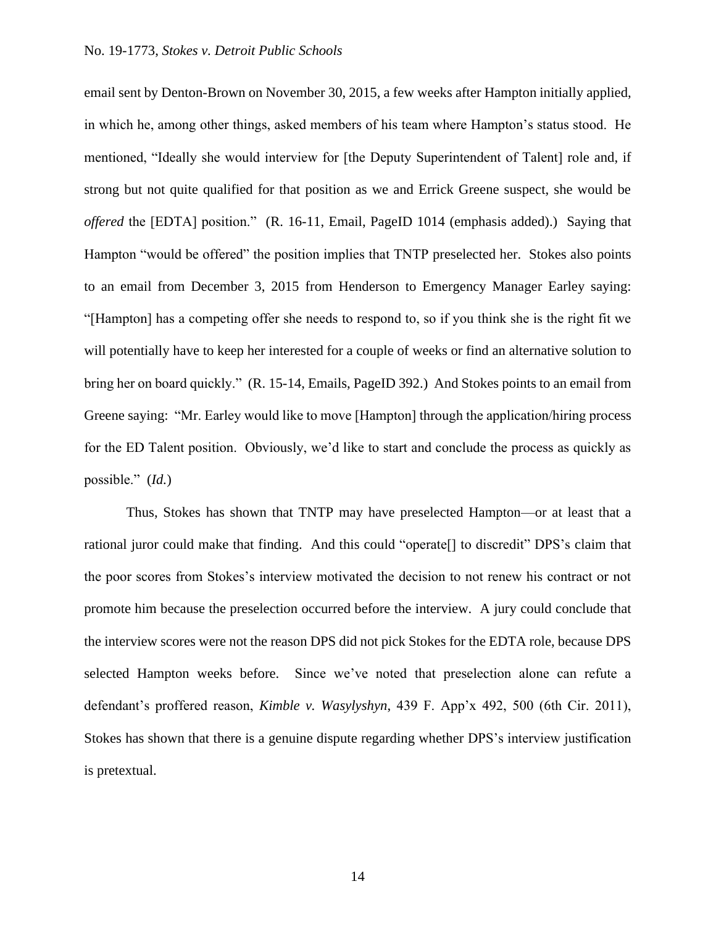email sent by Denton-Brown on November 30, 2015, a few weeks after Hampton initially applied, in which he, among other things, asked members of his team where Hampton's status stood. He mentioned, "Ideally she would interview for [the Deputy Superintendent of Talent] role and, if strong but not quite qualified for that position as we and Errick Greene suspect, she would be *offered* the [EDTA] position." (R. 16-11, Email, PageID 1014 (emphasis added).) Saying that Hampton "would be offered" the position implies that TNTP preselected her. Stokes also points to an email from December 3, 2015 from Henderson to Emergency Manager Earley saying: "[Hampton] has a competing offer she needs to respond to, so if you think she is the right fit we will potentially have to keep her interested for a couple of weeks or find an alternative solution to bring her on board quickly." (R. 15-14, Emails, PageID 392.) And Stokes points to an email from Greene saying: "Mr. Earley would like to move [Hampton] through the application/hiring process for the ED Talent position. Obviously, we'd like to start and conclude the process as quickly as possible." (*Id.*)

Thus, Stokes has shown that TNTP may have preselected Hampton—or at least that a rational juror could make that finding. And this could "operate[] to discredit" DPS's claim that the poor scores from Stokes's interview motivated the decision to not renew his contract or not promote him because the preselection occurred before the interview. A jury could conclude that the interview scores were not the reason DPS did not pick Stokes for the EDTA role, because DPS selected Hampton weeks before. Since we've noted that preselection alone can refute a defendant's proffered reason, *Kimble v. Wasylyshyn*, 439 F. App'x 492, 500 (6th Cir. 2011), Stokes has shown that there is a genuine dispute regarding whether DPS's interview justification is pretextual.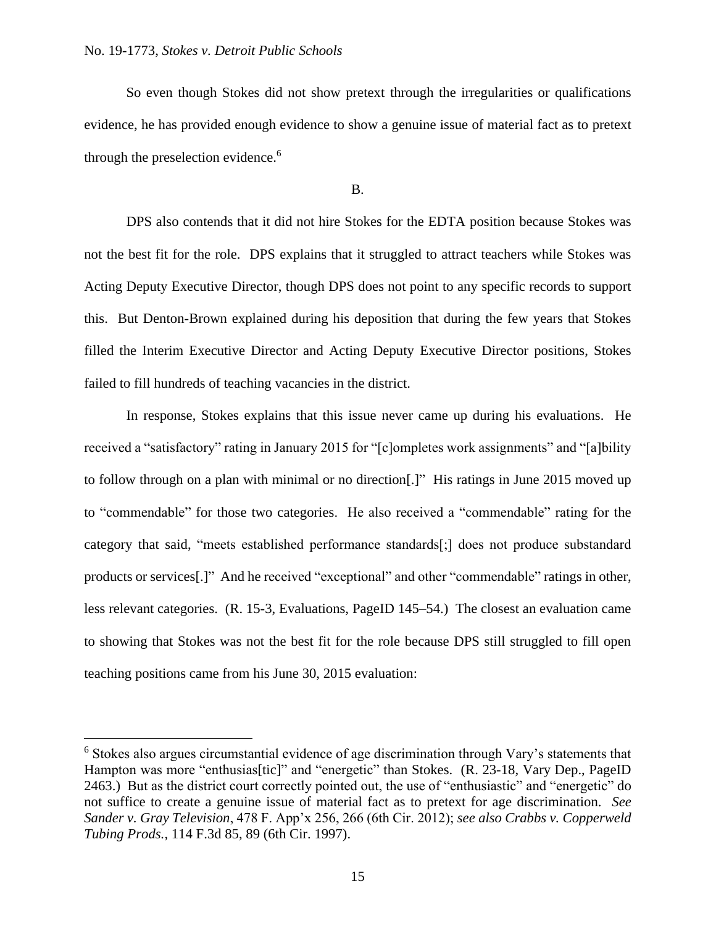So even though Stokes did not show pretext through the irregularities or qualifications evidence, he has provided enough evidence to show a genuine issue of material fact as to pretext through the preselection evidence.<sup>6</sup>

### B.

DPS also contends that it did not hire Stokes for the EDTA position because Stokes was not the best fit for the role. DPS explains that it struggled to attract teachers while Stokes was Acting Deputy Executive Director, though DPS does not point to any specific records to support this. But Denton-Brown explained during his deposition that during the few years that Stokes filled the Interim Executive Director and Acting Deputy Executive Director positions, Stokes failed to fill hundreds of teaching vacancies in the district.

In response, Stokes explains that this issue never came up during his evaluations. He received a "satisfactory" rating in January 2015 for "[c]ompletes work assignments" and "[a]bility to follow through on a plan with minimal or no direction[.]" His ratings in June 2015 moved up to "commendable" for those two categories. He also received a "commendable" rating for the category that said, "meets established performance standards[;] does not produce substandard products or services[.]" And he received "exceptional" and other "commendable" ratings in other, less relevant categories. (R. 15-3, Evaluations, PageID 145–54.) The closest an evaluation came to showing that Stokes was not the best fit for the role because DPS still struggled to fill open teaching positions came from his June 30, 2015 evaluation:

<sup>6</sup> Stokes also argues circumstantial evidence of age discrimination through Vary's statements that Hampton was more "enthusias[tic]" and "energetic" than Stokes. (R. 23-18, Vary Dep., PageID 2463.) But as the district court correctly pointed out, the use of "enthusiastic" and "energetic" do not suffice to create a genuine issue of material fact as to pretext for age discrimination. *See Sander v. Gray Television*, 478 F. App'x 256, 266 (6th Cir. 2012); *see also Crabbs v. Copperweld Tubing Prods.*, 114 F.3d 85, 89 (6th Cir. 1997).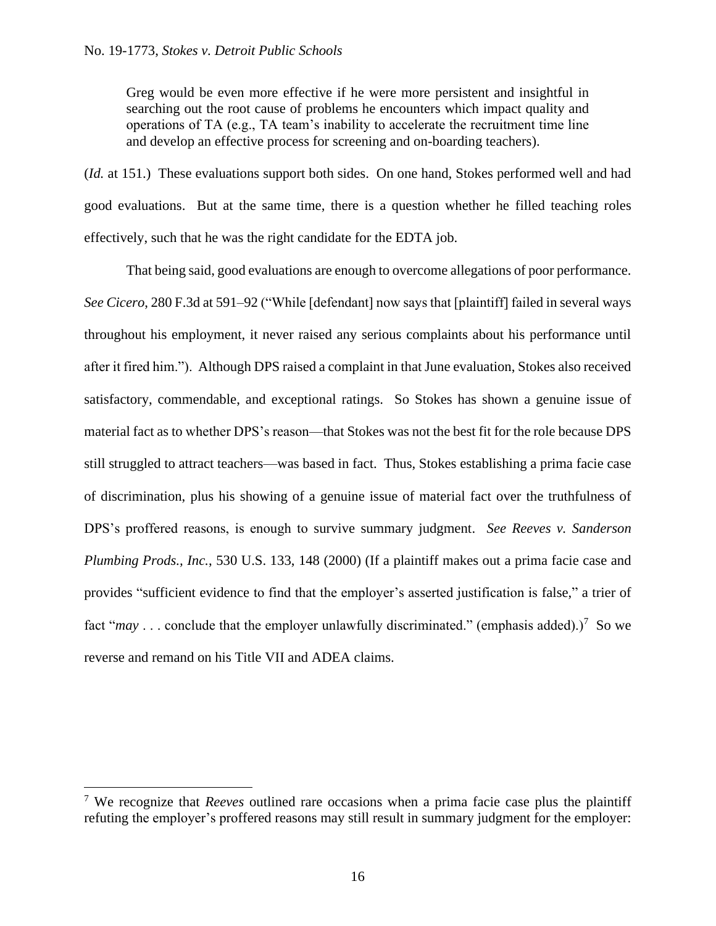Greg would be even more effective if he were more persistent and insightful in searching out the root cause of problems he encounters which impact quality and operations of TA (e.g., TA team's inability to accelerate the recruitment time line and develop an effective process for screening and on-boarding teachers).

(*Id.* at 151.) These evaluations support both sides. On one hand, Stokes performed well and had good evaluations. But at the same time, there is a question whether he filled teaching roles effectively, such that he was the right candidate for the EDTA job.

That being said, good evaluations are enough to overcome allegations of poor performance. *See Cicero*, 280 F.3d at 591–92 ("While [defendant] now says that [plaintiff] failed in several ways throughout his employment, it never raised any serious complaints about his performance until after it fired him."). Although DPS raised a complaint in that June evaluation, Stokes also received satisfactory, commendable, and exceptional ratings. So Stokes has shown a genuine issue of material fact as to whether DPS's reason—that Stokes was not the best fit for the role because DPS still struggled to attract teachers—was based in fact. Thus, Stokes establishing a prima facie case of discrimination, plus his showing of a genuine issue of material fact over the truthfulness of DPS's proffered reasons, is enough to survive summary judgment. *See Reeves v. Sanderson Plumbing Prods., Inc.*, 530 U.S. 133, 148 (2000) (If a plaintiff makes out a prima facie case and provides "sufficient evidence to find that the employer's asserted justification is false," a trier of fact " $may \dots$  conclude that the employer unlawfully discriminated." (emphasis added).)<sup>7</sup> So we reverse and remand on his Title VII and ADEA claims.

<sup>7</sup> We recognize that *Reeves* outlined rare occasions when a prima facie case plus the plaintiff refuting the employer's proffered reasons may still result in summary judgment for the employer: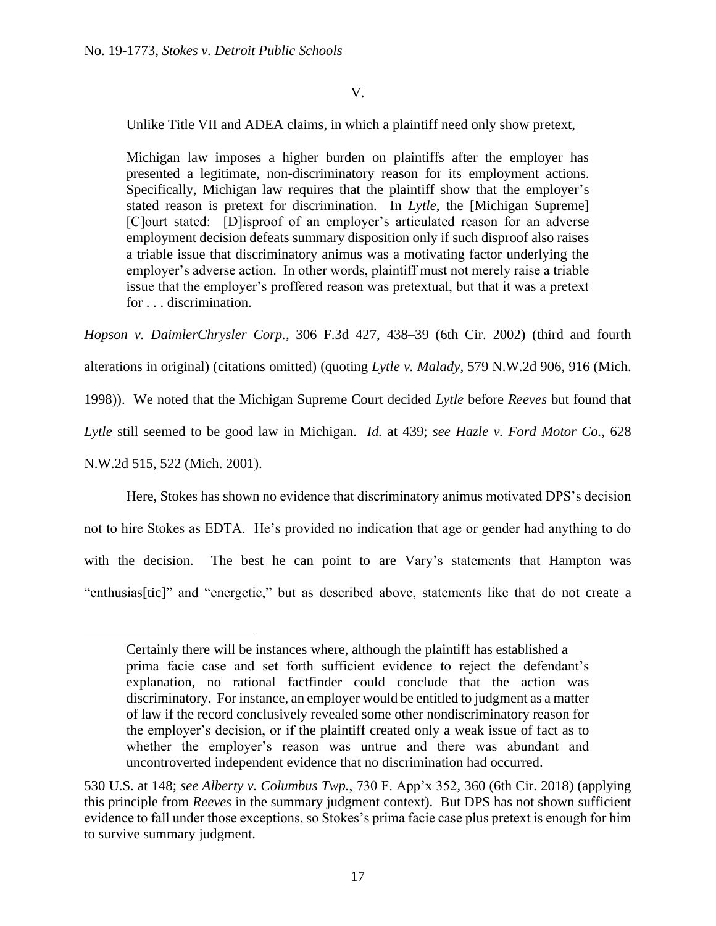# V.

Unlike Title VII and ADEA claims, in which a plaintiff need only show pretext,

Michigan law imposes a higher burden on plaintiffs after the employer has presented a legitimate, non-discriminatory reason for its employment actions. Specifically, Michigan law requires that the plaintiff show that the employer's stated reason is pretext for discrimination. In *Lytle*, the [Michigan Supreme] [C]ourt stated: [D]isproof of an employer's articulated reason for an adverse employment decision defeats summary disposition only if such disproof also raises a triable issue that discriminatory animus was a motivating factor underlying the employer's adverse action. In other words, plaintiff must not merely raise a triable issue that the employer's proffered reason was pretextual, but that it was a pretext for . . . discrimination.

*Hopson v. DaimlerChrysler Corp.*, 306 F.3d 427, 438–39 (6th Cir. 2002) (third and fourth alterations in original) (citations omitted) (quoting *Lytle v. Malady*, 579 N.W.2d 906, 916 (Mich. 1998)). We noted that the Michigan Supreme Court decided *Lytle* before *Reeves* but found that *Lytle* still seemed to be good law in Michigan. *Id.* at 439; *see Hazle v. Ford Motor Co.*, 628 N.W.2d 515, 522 (Mich. 2001).

Here, Stokes has shown no evidence that discriminatory animus motivated DPS's decision not to hire Stokes as EDTA. He's provided no indication that age or gender had anything to do with the decision. The best he can point to are Vary's statements that Hampton was "enthusias[tic]" and "energetic," but as described above, statements like that do not create a

Certainly there will be instances where, although the plaintiff has established a prima facie case and set forth sufficient evidence to reject the defendant's explanation, no rational factfinder could conclude that the action was discriminatory. For instance, an employer would be entitled to judgment as a matter of law if the record conclusively revealed some other nondiscriminatory reason for the employer's decision, or if the plaintiff created only a weak issue of fact as to whether the employer's reason was untrue and there was abundant and uncontroverted independent evidence that no discrimination had occurred.

<sup>530</sup> U.S. at 148; *see Alberty v. Columbus Twp.*, 730 F. App'x 352, 360 (6th Cir. 2018) (applying this principle from *Reeves* in the summary judgment context). But DPS has not shown sufficient evidence to fall under those exceptions, so Stokes's prima facie case plus pretext is enough for him to survive summary judgment.